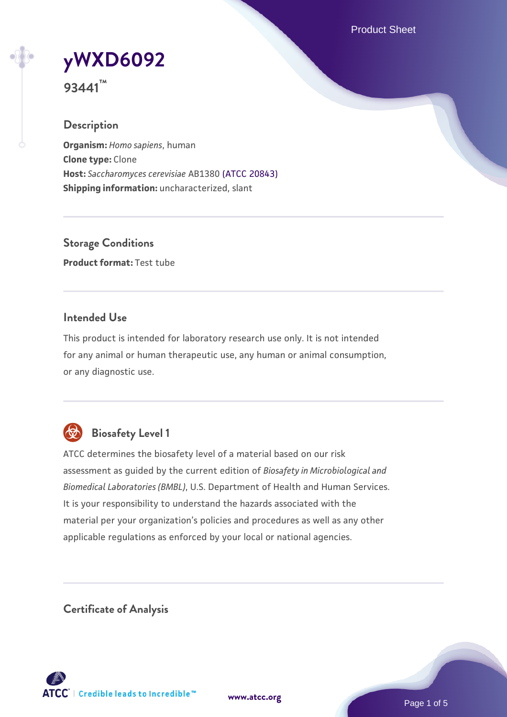Product Sheet

# **[yWXD6092](https://www.atcc.org/products/93441)**

**93441™**

## **Description**

**Organism:** *Homo sapiens*, human **Clone type:** Clone **Host:** *Saccharomyces cerevisiae* AB1380 [\(ATCC 20843\)](https://www.atcc.org/products/20843) **Shipping information:** uncharacterized, slant

**Storage Conditions Product format:** Test tube

## **Intended Use**

This product is intended for laboratory research use only. It is not intended for any animal or human therapeutic use, any human or animal consumption, or any diagnostic use.



# **Biosafety Level 1**

ATCC determines the biosafety level of a material based on our risk assessment as guided by the current edition of *Biosafety in Microbiological and Biomedical Laboratories (BMBL)*, U.S. Department of Health and Human Services. It is your responsibility to understand the hazards associated with the material per your organization's policies and procedures as well as any other applicable regulations as enforced by your local or national agencies.

**Certificate of Analysis**

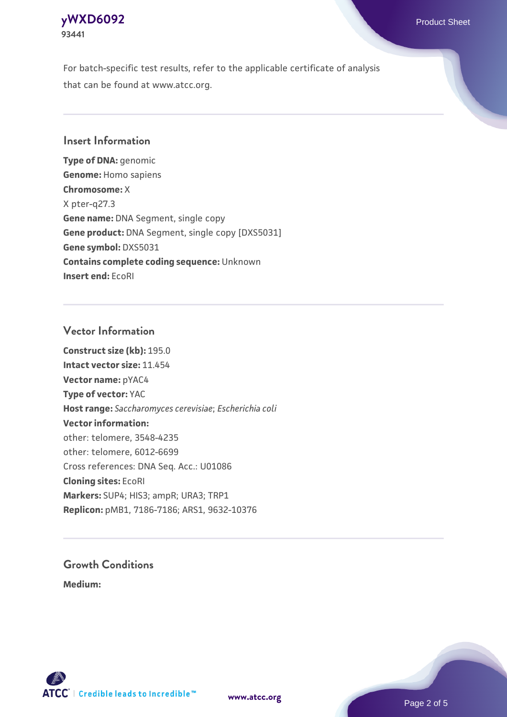## **[yWXD6092](https://www.atcc.org/products/93441)** Product Sheet **93441**

For batch-specific test results, refer to the applicable certificate of analysis that can be found at www.atcc.org.

## **Insert Information**

**Type of DNA:** genomic **Genome:** Homo sapiens **Chromosome:** X X pter-q27.3 **Gene name:** DNA Segment, single copy **Gene product:** DNA Segment, single copy [DXS5031] **Gene symbol:** DXS5031 **Contains complete coding sequence:** Unknown **Insert end:** EcoRI

## **Vector Information**

**Construct size (kb):** 195.0 **Intact vector size:** 11.454 **Vector name:** pYAC4 **Type of vector:** YAC **Host range:** *Saccharomyces cerevisiae*; *Escherichia coli* **Vector information:** other: telomere, 3548-4235 other: telomere, 6012-6699 Cross references: DNA Seq. Acc.: U01086 **Cloning sites:** EcoRI **Markers:** SUP4; HIS3; ampR; URA3; TRP1 **Replicon:** pMB1, 7186-7186; ARS1, 9632-10376

# **Growth Conditions**

**Medium:** 



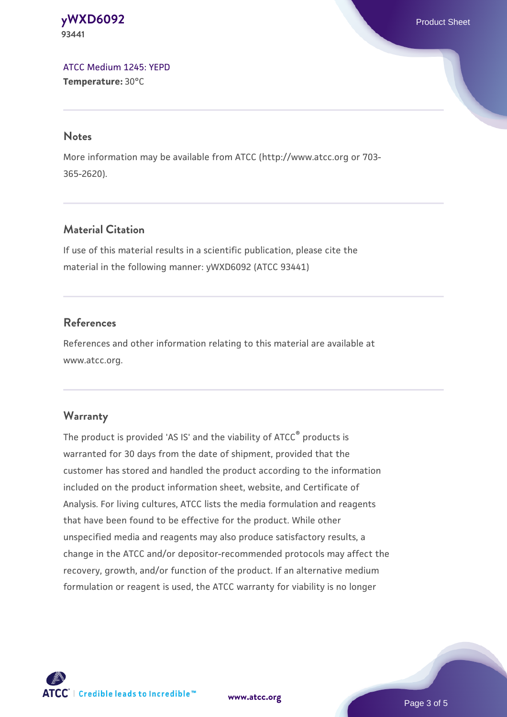#### **[yWXD6092](https://www.atcc.org/products/93441)** Product Sheet **93441**

[ATCC Medium 1245: YEPD](https://www.atcc.org/-/media/product-assets/documents/microbial-media-formulations/1/2/4/5/atcc-medium-1245.pdf?rev=705ca55d1b6f490a808a965d5c072196) **Temperature:** 30°C

#### **Notes**

More information may be available from ATCC (http://www.atcc.org or 703- 365-2620).

## **Material Citation**

If use of this material results in a scientific publication, please cite the material in the following manner: yWXD6092 (ATCC 93441)

## **References**

References and other information relating to this material are available at www.atcc.org.

## **Warranty**

The product is provided 'AS IS' and the viability of ATCC® products is warranted for 30 days from the date of shipment, provided that the customer has stored and handled the product according to the information included on the product information sheet, website, and Certificate of Analysis. For living cultures, ATCC lists the media formulation and reagents that have been found to be effective for the product. While other unspecified media and reagents may also produce satisfactory results, a change in the ATCC and/or depositor-recommended protocols may affect the recovery, growth, and/or function of the product. If an alternative medium formulation or reagent is used, the ATCC warranty for viability is no longer



**[www.atcc.org](http://www.atcc.org)**

Page 3 of 5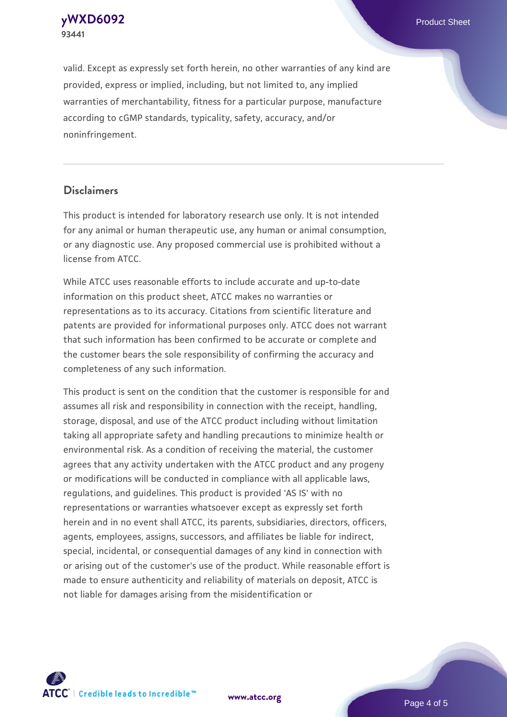**[yWXD6092](https://www.atcc.org/products/93441)** Product Sheet **93441**

valid. Except as expressly set forth herein, no other warranties of any kind are provided, express or implied, including, but not limited to, any implied warranties of merchantability, fitness for a particular purpose, manufacture according to cGMP standards, typicality, safety, accuracy, and/or noninfringement.

#### **Disclaimers**

This product is intended for laboratory research use only. It is not intended for any animal or human therapeutic use, any human or animal consumption, or any diagnostic use. Any proposed commercial use is prohibited without a license from ATCC.

While ATCC uses reasonable efforts to include accurate and up-to-date information on this product sheet, ATCC makes no warranties or representations as to its accuracy. Citations from scientific literature and patents are provided for informational purposes only. ATCC does not warrant that such information has been confirmed to be accurate or complete and the customer bears the sole responsibility of confirming the accuracy and completeness of any such information.

This product is sent on the condition that the customer is responsible for and assumes all risk and responsibility in connection with the receipt, handling, storage, disposal, and use of the ATCC product including without limitation taking all appropriate safety and handling precautions to minimize health or environmental risk. As a condition of receiving the material, the customer agrees that any activity undertaken with the ATCC product and any progeny or modifications will be conducted in compliance with all applicable laws, regulations, and guidelines. This product is provided 'AS IS' with no representations or warranties whatsoever except as expressly set forth herein and in no event shall ATCC, its parents, subsidiaries, directors, officers, agents, employees, assigns, successors, and affiliates be liable for indirect, special, incidental, or consequential damages of any kind in connection with or arising out of the customer's use of the product. While reasonable effort is made to ensure authenticity and reliability of materials on deposit, ATCC is not liable for damages arising from the misidentification or



**[www.atcc.org](http://www.atcc.org)**

Page 4 of 5